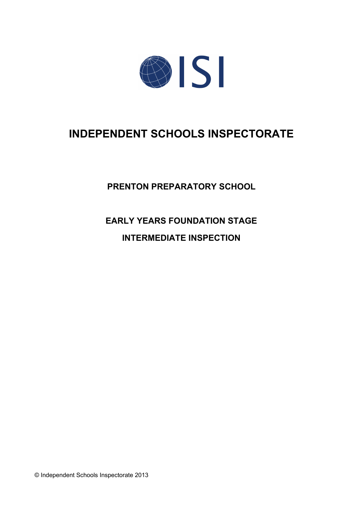

# **INDEPENDENT SCHOOLS INSPECTORATE**

**PRENTON PREPARATORY SCHOOL**

**EARLY YEARS FOUNDATION STAGE INTERMEDIATE INSPECTION**

© Independent Schools Inspectorate 2013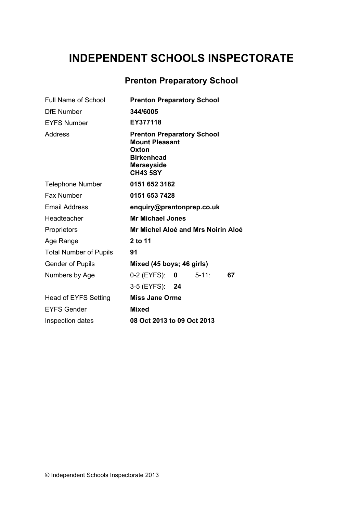# **INDEPENDENT SCHOOLS INSPECTORATE**

## **Prenton Preparatory School**

| <b>Prenton Preparatory School</b>                                                                                                |
|----------------------------------------------------------------------------------------------------------------------------------|
| 344/6005                                                                                                                         |
| EY377118                                                                                                                         |
| <b>Prenton Preparatory School</b><br><b>Mount Pleasant</b><br>Oxton<br><b>Birkenhead</b><br><b>Merseyside</b><br><b>CH43 5SY</b> |
| 0151 652 3182                                                                                                                    |
| 0151 653 7428                                                                                                                    |
| enquiry@prentonprep.co.uk                                                                                                        |
| <b>Mr Michael Jones</b>                                                                                                          |
| Mr Michel Aloé and Mrs Noirin Aloé                                                                                               |
| 2 to 11                                                                                                                          |
| 91                                                                                                                               |
| Mixed (45 boys; 46 girls)                                                                                                        |
| 0-2 (EYFS):<br>$5 - 11$ :<br>$\mathbf{0}$<br>67                                                                                  |
| 3-5 (EYFS): 24                                                                                                                   |
| <b>Miss Jane Orme</b>                                                                                                            |
| <b>Mixed</b>                                                                                                                     |
| 08 Oct 2013 to 09 Oct 2013                                                                                                       |
|                                                                                                                                  |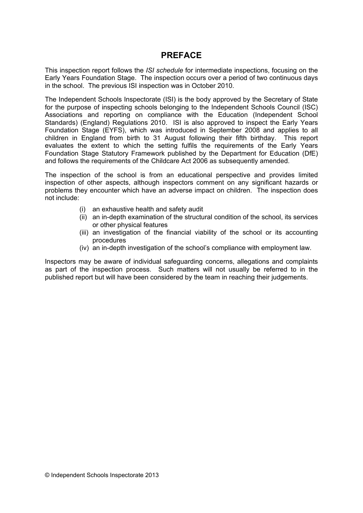## **PREFACE**

This inspection report follows the *ISI schedule* for intermediate inspections, focusing on the Early Years Foundation Stage. The inspection occurs over a period of two continuous days in the school. The previous ISI inspection was in October 2010.

The Independent Schools Inspectorate (ISI) is the body approved by the Secretary of State for the purpose of inspecting schools belonging to the Independent Schools Council (ISC) Associations and reporting on compliance with the Education (Independent School Standards) (England) Regulations 2010. ISI is also approved to inspect the Early Years Foundation Stage (EYFS), which was introduced in September 2008 and applies to all children in England from birth to 31 August following their fifth birthday. This report evaluates the extent to which the setting fulfils the requirements of the Early Years Foundation Stage Statutory Framework published by the Department for Education (DfE) and follows the requirements of the Childcare Act 2006 as subsequently amended.

The inspection of the school is from an educational perspective and provides limited inspection of other aspects, although inspectors comment on any significant hazards or problems they encounter which have an adverse impact on children. The inspection does not include:

- (i) an exhaustive health and safety audit
- (ii) an in-depth examination of the structural condition of the school, its services or other physical features
- (iii) an investigation of the financial viability of the school or its accounting procedures
- (iv) an in-depth investigation of the school's compliance with employment law.

Inspectors may be aware of individual safeguarding concerns, allegations and complaints as part of the inspection process. Such matters will not usually be referred to in the published report but will have been considered by the team in reaching their judgements.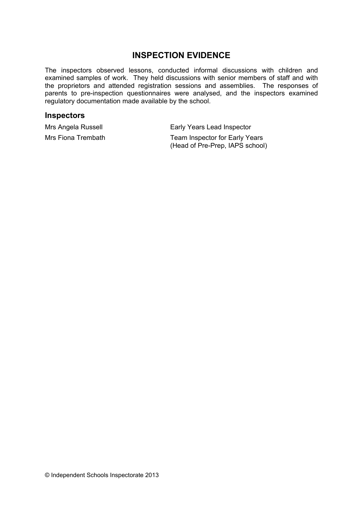## **INSPECTION EVIDENCE**

The inspectors observed lessons, conducted informal discussions with children and examined samples of work. They held discussions with senior members of staff and with the proprietors and attended registration sessions and assemblies. The responses of parents to pre-inspection questionnaires were analysed, and the inspectors examined regulatory documentation made available by the school.

#### **Inspectors**

Mrs Angela Russell **Early Years Lead Inspector** 

Mrs Fiona Trembath Team Inspector for Early Years (Head of Pre-Prep, IAPS school)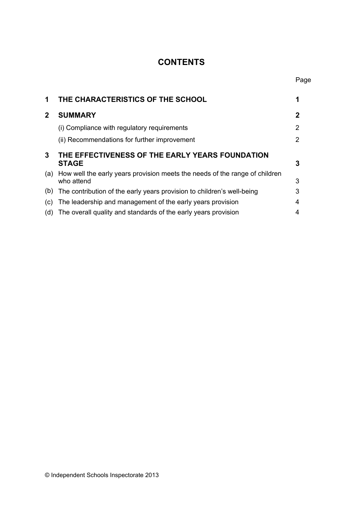## **CONTENTS**

Page

| 1              | THE CHARACTERISTICS OF THE SCHOOL                                                             |   |
|----------------|-----------------------------------------------------------------------------------------------|---|
| $\overline{2}$ | <b>SUMMARY</b>                                                                                | 2 |
|                | (i) Compliance with regulatory requirements                                                   | 2 |
|                | (ii) Recommendations for further improvement                                                  | 2 |
| 3              | THE EFFECTIVENESS OF THE EARLY YEARS FOUNDATION<br><b>STAGE</b>                               | 3 |
|                | (a) How well the early years provision meets the needs of the range of children<br>who attend | 3 |
| (b)            | The contribution of the early years provision to children's well-being                        | 3 |
| (C)            | The leadership and management of the early years provision                                    | 4 |
| (d)            | The overall quality and standards of the early years provision                                | 4 |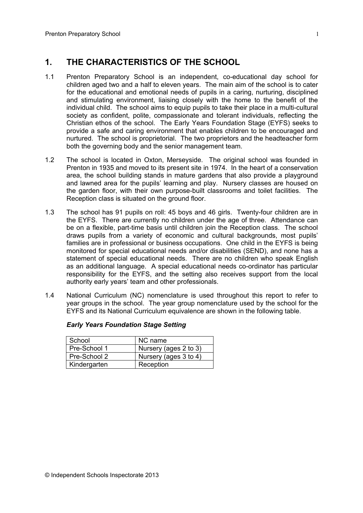## **1. THE CHARACTERISTICS OF THE SCHOOL**

- 1.1 Prenton Preparatory School is an independent, co-educational day school for children aged two and a half to eleven years. The main aim of the school is to cater for the educational and emotional needs of pupils in a caring, nurturing, disciplined and stimulating environment, liaising closely with the home to the benefit of the individual child. The school aims to equip pupils to take their place in a multi-cultural society as confident, polite, compassionate and tolerant individuals, reflecting the Christian ethos of the school. The Early Years Foundation Stage (EYFS) seeks to provide a safe and caring environment that enables children to be encouraged and nurtured. The school is proprietorial. The two proprietors and the headteacher form both the governing body and the senior management team.
- 1.2 The school is located in Oxton, Merseyside. The original school was founded in Prenton in 1935 and moved to its present site in 1974. In the heart of a conservation area, the school building stands in mature gardens that also provide a playground and lawned area for the pupils' learning and play. Nursery classes are housed on the garden floor, with their own purpose-built classrooms and toilet facilities. The Reception class is situated on the ground floor.
- 1.3 The school has 91 pupils on roll: 45 boys and 46 girls. Twenty-four children are in the EYFS. There are currently no children under the age of three. Attendance can be on a flexible, part-time basis until children join the Reception class. The school draws pupils from a variety of economic and cultural backgrounds, most pupils' families are in professional or business occupations. One child in the EYFS is being monitored for special educational needs and/or disabilities (SEND), and none has a statement of special educational needs. There are no children who speak English as an additional language. A special educational needs co-ordinator has particular responsibility for the EYFS, and the setting also receives support from the local authority early years' team and other professionals.
- 1.4 National Curriculum (NC) nomenclature is used throughout this report to refer to year groups in the school. The year group nomenclature used by the school for the EYFS and its National Curriculum equivalence are shown in the following table.

| School       | NC name               |
|--------------|-----------------------|
| Pre-School 1 | Nursery (ages 2 to 3) |
| Pre-School 2 | Nursery (ages 3 to 4) |
| Kindergarten | Reception             |

#### *Early Years Foundation Stage Setting*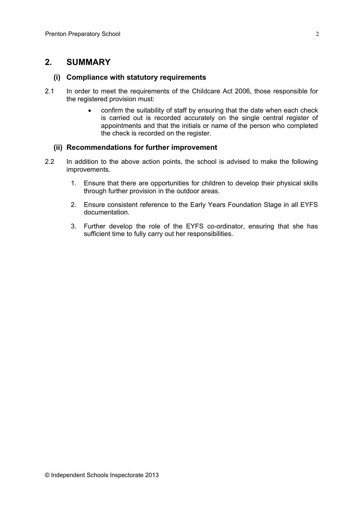## **2. SUMMARY**

#### **(i) Compliance with statutory requirements**

- 2.1 In order to meet the requirements of the Childcare Act 2006, those responsible for the registered provision must:
	- confirm the suitability of staff by ensuring that the date when each check is carried out is recorded accurately on the single central register of appointments and that the initials or name of the person who completed the check is recorded on the register.

#### **(ii) Recommendations for further improvement**

- 2.2 In addition to the above action points, the school is advised to make the following improvements.
	- 1. Ensure that there are opportunities for children to develop their physical skills through further provision in the outdoor areas.
	- 2. Ensure consistent reference to the Early Years Foundation Stage in all EYFS documentation.
	- 3. Further develop the role of the EYFS co-ordinator, ensuring that she has sufficient time to fully carry out her responsibilities.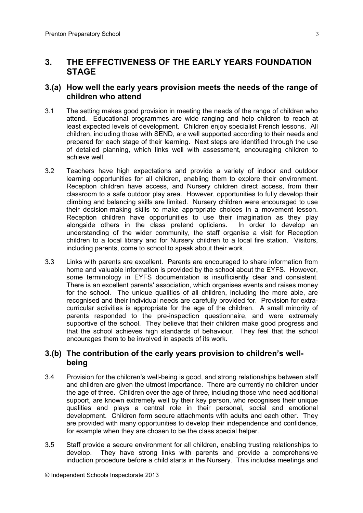## **3. THE EFFECTIVENESS OF THE EARLY YEARS FOUNDATION STAGE**

### **3.(a) How well the early years provision meets the needs of the range of children who attend**

- 3.1 The setting makes good provision in meeting the needs of the range of children who attend. Educational programmes are wide ranging and help children to reach at least expected levels of development. Children enjoy specialist French lessons. All children, including those with SEND, are well supported according to their needs and prepared for each stage of their learning. Next steps are identified through the use of detailed planning, which links well with assessment, encouraging children to achieve well.
- 3.2 Teachers have high expectations and provide a variety of indoor and outdoor learning opportunities for all children, enabling them to explore their environment. Reception children have access, and Nursery children direct access, from their classroom to a safe outdoor play area. However, opportunities to fully develop their climbing and balancing skills are limited. Nursery children were encouraged to use their decision-making skills to make appropriate choices in a movement lesson. Reception children have opportunities to use their imagination as they play alongside others in the class pretend opticians. In order to develop an understanding of the wider community, the staff organise a visit for Reception children to a local library and for Nursery children to a local fire station. Visitors, including parents, come to school to speak about their work.
- 3.3 Links with parents are excellent. Parents are encouraged to share information from home and valuable information is provided by the school about the EYFS. However, some terminology in EYFS documentation is insufficiently clear and consistent. There is an excellent parents' association, which organises events and raises money for the school. The unique qualities of all children, including the more able, are recognised and their individual needs are carefully provided for. Provision for extracurricular activities is appropriate for the age of the children. A small minority of parents responded to the pre-inspection questionnaire, and were extremely supportive of the school. They believe that their children make good progress and that the school achieves high standards of behaviour. They feel that the school encourages them to be involved in aspects of its work.

### **3.(b) The contribution of the early years provision to children's wellbeing**

- 3.4 Provision for the children's well-being is good, and strong relationships between staff and children are given the utmost importance. There are currently no children under the age of three. Children over the age of three, including those who need additional support, are known extremely well by their key person, who recognises their unique qualities and plays a central role in their personal, social and emotional development. Children form secure attachments with adults and each other. They are provided with many opportunities to develop their independence and confidence, for example when they are chosen to be the class special helper.
- 3.5 Staff provide a secure environment for all children, enabling trusting relationships to develop. They have strong links with parents and provide a comprehensive induction procedure before a child starts in the Nursery. This includes meetings and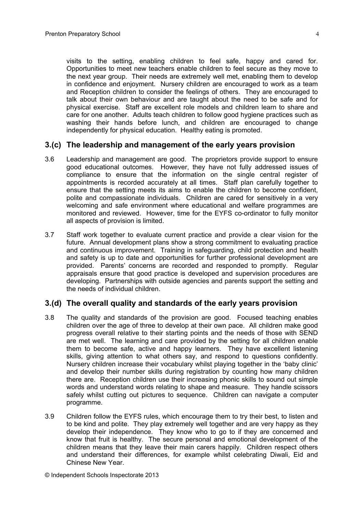visits to the setting, enabling children to feel safe, happy and cared for. Opportunities to meet new teachers enable children to feel secure as they move to the next year group. Their needs are extremely well met, enabling them to develop in confidence and enjoyment. Nursery children are encouraged to work as a team and Reception children to consider the feelings of others. They are encouraged to talk about their own behaviour and are taught about the need to be safe and for physical exercise. Staff are excellent role models and children learn to share and care for one another. Adults teach children to follow good hygiene practices such as washing their hands before lunch, and children are encouraged to change independently for physical education. Healthy eating is promoted.

#### **3.(c) The leadership and management of the early years provision**

- 3.6 Leadership and management are good. The proprietors provide support to ensure good educational outcomes. However, they have not fully addressed issues of compliance to ensure that the information on the single central register of appointments is recorded accurately at all times. Staff plan carefully together to ensure that the setting meets its aims to enable the children to become confident, polite and compassionate individuals. Children are cared for sensitively in a very welcoming and safe environment where educational and welfare programmes are monitored and reviewed. However, time for the EYFS co-ordinator to fully monitor all aspects of provision is limited.
- 3.7 Staff work together to evaluate current practice and provide a clear vision for the future. Annual development plans show a strong commitment to evaluating practice and continuous improvement. Training in safeguarding, child protection and health and safety is up to date and opportunities for further professional development are provided. Parents' concerns are recorded and responded to promptly. Regular appraisals ensure that good practice is developed and supervision procedures are developing. Partnerships with outside agencies and parents support the setting and the needs of individual children.

#### **3.(d) The overall quality and standards of the early years provision**

- 3.8 The quality and standards of the provision are good. Focused teaching enables children over the age of three to develop at their own pace. All children make good progress overall relative to their starting points and the needs of those with SEND are met well. The learning and care provided by the setting for all children enable them to become safe, active and happy learners. They have excellent listening skills, giving attention to what others say, and respond to questions confidently. Nursery children increase their vocabulary whilst playing together in the 'baby clinic' and develop their number skills during registration by counting how many children there are. Reception children use their increasing phonic skills to sound out simple words and understand words relating to shape and measure. They handle scissors safely whilst cutting out pictures to sequence. Children can navigate a computer programme.
- 3.9 Children follow the EYFS rules, which encourage them to try their best, to listen and to be kind and polite. They play extremely well together and are very happy as they develop their independence. They know who to go to if they are concerned and know that fruit is healthy. The secure personal and emotional development of the children means that they leave their main carers happily. Children respect others and understand their differences, for example whilst celebrating Diwali, Eid and Chinese New Year.